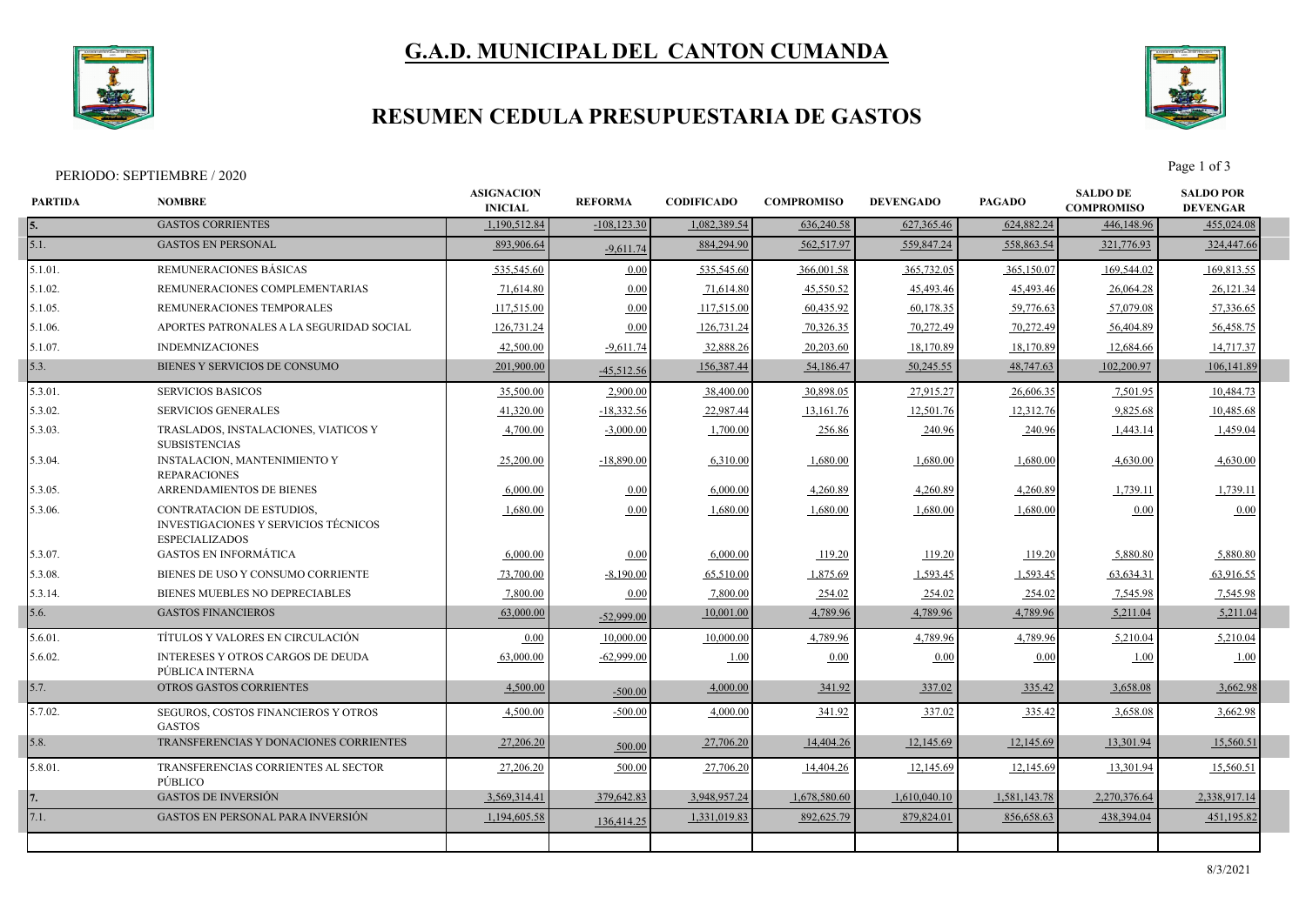

# **G.A.D. MUNICIPAL DEL CANTON CUMANDA**

## **RESUMEN CEDULA PRESUPUESTARIA DE GASTOS**



Page 1 of 3<br>Page 1 of 3

| <b>GASTOS CORRIENTES</b><br>1.190.512.84<br>$-108, 123.30$<br>1.082.389.54<br>636,240.58<br>627,365.46<br>624,882.24<br>446,148.96<br>5.1.<br><b>GASTOS EN PERSONAL</b><br>893,906.64<br>884,294.90<br>562,517.97<br>559,847.24<br>558,863.54<br>321,776.93<br>$-9,611.74$<br>REMUNERACIONES BÁSICAS<br>5.1.01.<br>535,545.60<br>0.00<br>535,545.60<br>366,001.58<br>365,732.05<br>365,150.07<br>169,544.02<br>5.1.02.<br>REMUNERACIONES COMPLEMENTARIAS<br>71,614.80<br>45,550.52<br>45,493.46<br>45,493.46<br>0.00<br>71,614.80<br>26,064.28<br>117,515.00<br>60,435.92<br>60,178.35<br>59,776.63<br>57,079.08<br>5.1.05.<br>REMUNERACIONES TEMPORALES<br>0.00<br>117,515.00<br>70,272.49<br>70,272.49<br>5.1.06.<br>APORTES PATRONALES A LA SEGURIDAD SOCIAL<br>126,731.24<br>0.00<br>70,326.35<br>126,731.24<br>56,404.89<br>42,500.00<br>18,170.89<br>18,170.89<br>$5.1.07$ .<br><b>INDEMNIZACIONES</b><br>$-9,611.74$<br>32,888.26<br>20,203.60<br>12,684.66<br>5.3.<br>BIENES Y SERVICIOS DE CONSUMO<br>201,900.00<br>156,387.44<br>50,245.55<br>48,747.63<br>102,200.97<br>54,186.47<br>$-45,512.56$ | 455,024.08<br>324,447.66<br>169,813.55<br>26,121.34<br>57,336.65<br>56,458.75<br>14,717.37<br>106,141.89<br>10,484.73<br>10,485.68<br>1,459.04 |
|--------------------------------------------------------------------------------------------------------------------------------------------------------------------------------------------------------------------------------------------------------------------------------------------------------------------------------------------------------------------------------------------------------------------------------------------------------------------------------------------------------------------------------------------------------------------------------------------------------------------------------------------------------------------------------------------------------------------------------------------------------------------------------------------------------------------------------------------------------------------------------------------------------------------------------------------------------------------------------------------------------------------------------------------------------------------------------------------------------------|------------------------------------------------------------------------------------------------------------------------------------------------|
|                                                                                                                                                                                                                                                                                                                                                                                                                                                                                                                                                                                                                                                                                                                                                                                                                                                                                                                                                                                                                                                                                                              |                                                                                                                                                |
|                                                                                                                                                                                                                                                                                                                                                                                                                                                                                                                                                                                                                                                                                                                                                                                                                                                                                                                                                                                                                                                                                                              |                                                                                                                                                |
|                                                                                                                                                                                                                                                                                                                                                                                                                                                                                                                                                                                                                                                                                                                                                                                                                                                                                                                                                                                                                                                                                                              |                                                                                                                                                |
|                                                                                                                                                                                                                                                                                                                                                                                                                                                                                                                                                                                                                                                                                                                                                                                                                                                                                                                                                                                                                                                                                                              |                                                                                                                                                |
|                                                                                                                                                                                                                                                                                                                                                                                                                                                                                                                                                                                                                                                                                                                                                                                                                                                                                                                                                                                                                                                                                                              |                                                                                                                                                |
|                                                                                                                                                                                                                                                                                                                                                                                                                                                                                                                                                                                                                                                                                                                                                                                                                                                                                                                                                                                                                                                                                                              |                                                                                                                                                |
|                                                                                                                                                                                                                                                                                                                                                                                                                                                                                                                                                                                                                                                                                                                                                                                                                                                                                                                                                                                                                                                                                                              |                                                                                                                                                |
|                                                                                                                                                                                                                                                                                                                                                                                                                                                                                                                                                                                                                                                                                                                                                                                                                                                                                                                                                                                                                                                                                                              |                                                                                                                                                |
| 5.3.01<br><b>SERVICIOS BASICOS</b><br>35,500.00<br>30,898.05<br>2,900.00<br>38,400.00<br>27,915.27<br>26,606.35<br>7,501.95                                                                                                                                                                                                                                                                                                                                                                                                                                                                                                                                                                                                                                                                                                                                                                                                                                                                                                                                                                                  |                                                                                                                                                |
| 41,320.00<br>$-18,332.56$<br>12,501.76<br>9.825.68<br>5.3.02.<br><b>SERVICIOS GENERALES</b><br>22,987.44<br>13,161.76<br>12,312.76                                                                                                                                                                                                                                                                                                                                                                                                                                                                                                                                                                                                                                                                                                                                                                                                                                                                                                                                                                           |                                                                                                                                                |
| 5.3.03.<br>TRASLADOS, INSTALACIONES, VIATICOS Y<br>4,700.00<br>$-3,000.00$<br>1,700.00<br>256.86<br>240.96<br>240.96<br>1,443.14<br><b>SUBSISTENCIAS</b>                                                                                                                                                                                                                                                                                                                                                                                                                                                                                                                                                                                                                                                                                                                                                                                                                                                                                                                                                     |                                                                                                                                                |
| <b>INSTALACION, MANTENIMIENTO Y</b><br>25,200.00<br>5.3.04.<br>$-18,890.00$<br>6,310.00<br>1,680.00<br>1,680.00<br>1,680.00<br>4,630.00<br><b>REPARACIONES</b>                                                                                                                                                                                                                                                                                                                                                                                                                                                                                                                                                                                                                                                                                                                                                                                                                                                                                                                                               | 4,630.00                                                                                                                                       |
| 5.3.05.<br>ARRENDAMIENTOS DE BIENES<br>6,000.00<br>4,260.89<br>0.00<br>6,000.00<br>4,260.89<br>4,260.89<br>1,739.11                                                                                                                                                                                                                                                                                                                                                                                                                                                                                                                                                                                                                                                                                                                                                                                                                                                                                                                                                                                          | 1,739.11                                                                                                                                       |
| 5.3.06.<br>CONTRATACION DE ESTUDIOS,<br>1,680.00<br>0.00<br>1,680.00<br>1,680.00<br>1,680.00<br>1,680.00<br>0.00<br><b>INVESTIGACIONES Y SERVICIOS TÉCNICOS</b><br><b>ESPECIALIZADOS</b>                                                                                                                                                                                                                                                                                                                                                                                                                                                                                                                                                                                                                                                                                                                                                                                                                                                                                                                     | 0.00                                                                                                                                           |
| <b>GASTOS EN INFORMÁTICA</b><br>5.3.07.<br>6,000.00<br>0.00<br>6,000.00<br>119.20<br>119.20<br>119.20<br>5,880.80                                                                                                                                                                                                                                                                                                                                                                                                                                                                                                                                                                                                                                                                                                                                                                                                                                                                                                                                                                                            | 5,880.80                                                                                                                                       |
| 5.3.08.<br>BIENES DE USO Y CONSUMO CORRIENTE<br>73,700.00<br>$-8,190.00$<br>65,510.00<br>1,875.69<br>1,593.45<br>1,593.45<br>63,634.31                                                                                                                                                                                                                                                                                                                                                                                                                                                                                                                                                                                                                                                                                                                                                                                                                                                                                                                                                                       | 63,916.55                                                                                                                                      |
| BIENES MUEBLES NO DEPRECIABLES<br>5.3.14.<br>7,800.00<br>0.00<br>7,800.00<br>254.02<br>254.02<br>254.02<br>7,545.98                                                                                                                                                                                                                                                                                                                                                                                                                                                                                                                                                                                                                                                                                                                                                                                                                                                                                                                                                                                          | 7,545.98                                                                                                                                       |
| 5.6.<br><b>GASTOS FINANCIEROS</b><br>63,000.00<br>4,789.96<br>4,789.96<br>4,789.96<br>10,001.00<br>5,211.04<br>$-52,999.00$                                                                                                                                                                                                                                                                                                                                                                                                                                                                                                                                                                                                                                                                                                                                                                                                                                                                                                                                                                                  | 5,211.04                                                                                                                                       |
| TÍTULOS Y VALORES EN CIRCULACIÓN<br>5.6.01.<br>10,000.00<br>10,000.00<br>4,789.96<br>4,789.96<br>5,210.04<br>0.00<br>4,789.96                                                                                                                                                                                                                                                                                                                                                                                                                                                                                                                                                                                                                                                                                                                                                                                                                                                                                                                                                                                | 5,210.04                                                                                                                                       |
| <b>INTERESES Y OTROS CARGOS DE DEUDA</b><br>63,000.00<br>$-62,999.00$<br>5.6.02.<br>1.00<br>0.00<br>0.00<br>0.00<br>1.00<br>PÚBLICA INTERNA                                                                                                                                                                                                                                                                                                                                                                                                                                                                                                                                                                                                                                                                                                                                                                                                                                                                                                                                                                  | 1.00                                                                                                                                           |
| 5.7.<br>OTROS GASTOS CORRIENTES<br>4,500.00<br>4,000.00<br>337.02<br>3,658.08<br>341.92<br>335.42<br>$-500.00$                                                                                                                                                                                                                                                                                                                                                                                                                                                                                                                                                                                                                                                                                                                                                                                                                                                                                                                                                                                               | 3,662.98                                                                                                                                       |
| 5.7.02.<br>SEGUROS, COSTOS FINANCIEROS Y OTROS<br>4,500.00<br>$-500.00$<br>341.92<br>337.02<br>3,658.08<br>4,000.00<br>335.42<br><b>GASTOS</b>                                                                                                                                                                                                                                                                                                                                                                                                                                                                                                                                                                                                                                                                                                                                                                                                                                                                                                                                                               | 3,662.98                                                                                                                                       |
| TRANSFERENCIAS Y DONACIONES CORRIENTES<br>5.8.<br>27,206.20<br>27,706.20<br>14,404.26<br>12,145.69<br>12,145.69<br>13,301.94<br>500.00                                                                                                                                                                                                                                                                                                                                                                                                                                                                                                                                                                                                                                                                                                                                                                                                                                                                                                                                                                       | 15,560.51                                                                                                                                      |
| 5.8.01<br>TRANSFERENCIAS CORRIENTES AL SECTOR<br>27,206.20<br>500.00<br>27,706.20<br>14,404.26<br>12,145.69<br>12,145.69<br>13,301.94<br><b>PÚBLICO</b>                                                                                                                                                                                                                                                                                                                                                                                                                                                                                                                                                                                                                                                                                                                                                                                                                                                                                                                                                      | 15,560.51                                                                                                                                      |
| <b>GASTOS DE INVERSIÓN</b><br>1,678,580.60<br>3,569,314.41<br>379,642.83<br>3.948.957.24<br>1,610,040.10<br>1,581,143.78<br>2,270,376.64                                                                                                                                                                                                                                                                                                                                                                                                                                                                                                                                                                                                                                                                                                                                                                                                                                                                                                                                                                     | 2,338,917.14                                                                                                                                   |
| 7.1.<br><b>GASTOS EN PERSONAL PARA INVERSIÓN</b><br>892,625.79<br>879,824.01<br>438,394.04<br>1,194,605.58<br>1,331,019.83<br>856,658.63<br>136,414.25                                                                                                                                                                                                                                                                                                                                                                                                                                                                                                                                                                                                                                                                                                                                                                                                                                                                                                                                                       | 451,195.82                                                                                                                                     |
|                                                                                                                                                                                                                                                                                                                                                                                                                                                                                                                                                                                                                                                                                                                                                                                                                                                                                                                                                                                                                                                                                                              |                                                                                                                                                |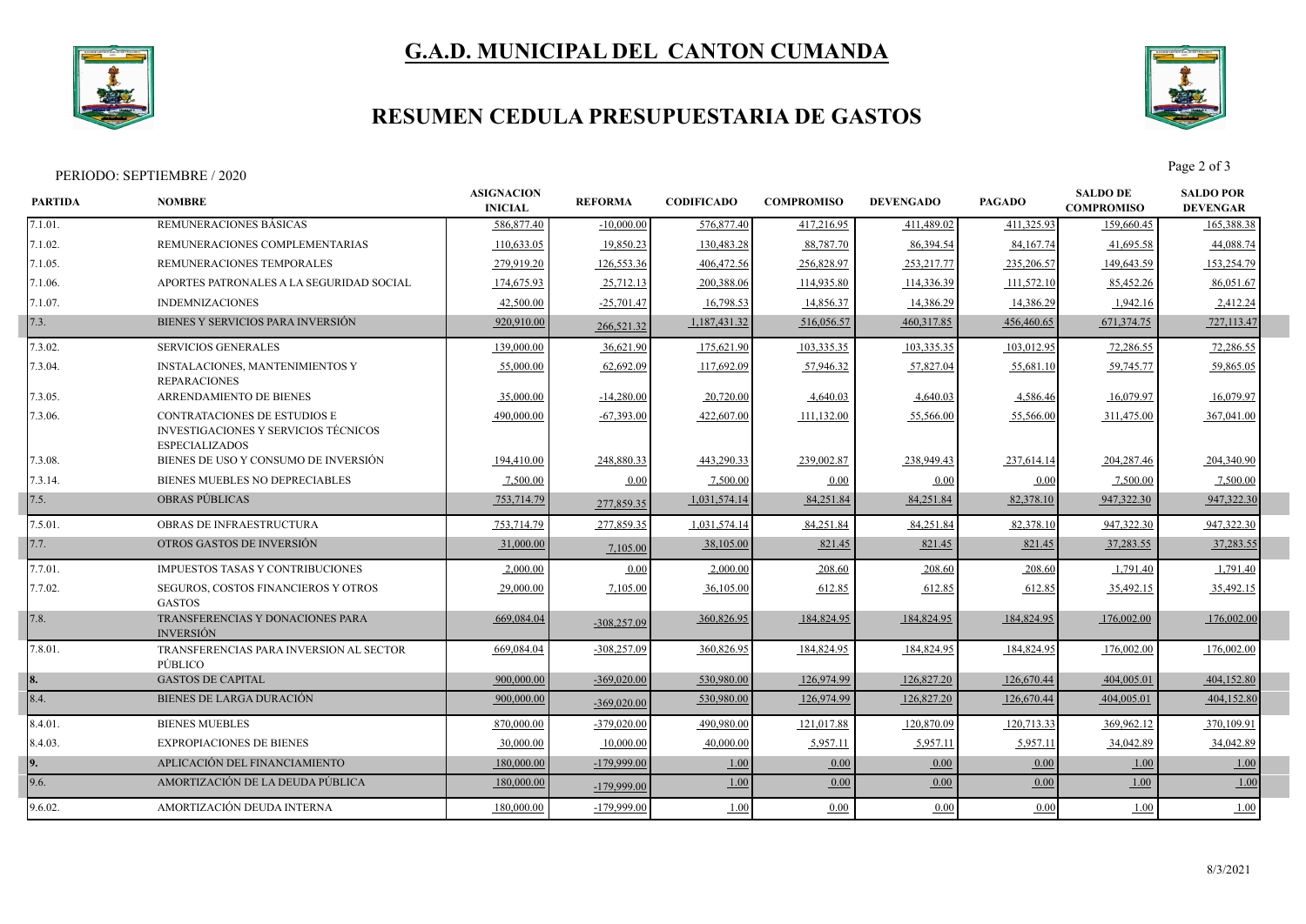

# **G.A.D. MUNICIPAL DEL CANTON CUMANDA**

## **RESUMEN CEDULA PRESUPUESTARIA DE GASTOS**



Page 2 of 3<br>Page 2 of 3

| <b>PARTIDA</b> | <b>NOMBRE</b>                                                                                 | <b>ASIGNACION</b><br><b>INICIAL</b> | <b>REFORMA</b> | <b>CODIFICADO</b> | <b>COMPROMISO</b> | <b>DEVENGADO</b> | <b>PAGADO</b> | <b>SALDO DE</b><br><b>COMPROMISO</b> | <b>SALDO POR</b><br><b>DEVENGAR</b> |  |
|----------------|-----------------------------------------------------------------------------------------------|-------------------------------------|----------------|-------------------|-------------------|------------------|---------------|--------------------------------------|-------------------------------------|--|
| 7.1.01.        | REMUNERACIONES BÁSICAS                                                                        | 586,877.40                          | $-10,000.00$   | 576,877.40        | 417,216.95        | 411,489.02       | 411.325.93    | 159,660.45                           | 165,388.38                          |  |
| 7.1.02.        | REMUNERACIONES COMPLEMENTARIAS                                                                | 110,633.05                          | 19,850.23      | 130,483.28        | 88,787.70         | 86,394.54        | 84,167.74     | 41,695.58                            | 44,088.74                           |  |
| 7.1.05.        | REMUNERACIONES TEMPORALES                                                                     | 279,919.20                          | 126,553.36     | 406,472.56        | 256,828.97        | 253, 217. 77     | 235,206.57    | 149,643.59                           | 153,254.79                          |  |
| 7.1.06.        | APORTES PATRONALES A LA SEGURIDAD SOCIAL                                                      | 174,675.93                          | 25,712.13      | 200,388.06        | 114,935.80        | 114,336.39       | 111,572.10    | 85,452.26                            | 86,051.67                           |  |
| 7.1.07.        | <b>INDEMNIZACIONES</b>                                                                        | 42,500.00                           | $-25,701.47$   | 16,798.53         | 14,856.37         | 14,386.29        | 14,386.29     | 1,942.16                             | 2,412.24                            |  |
| 7.3.           | BIENES Y SERVICIOS PARA INVERSIÓN                                                             | 920,910.00                          | 266,521.32     | 1,187,431.32      | 516,056.57        | 460, 317.85      | 456,460.65    | 671, 374. 75                         | 727,113.47                          |  |
| 7.3.02.        | <b>SERVICIOS GENERALES</b>                                                                    | 139,000.00                          | 36,621.90      | 175,621.90        | 103,335.35        | 103,335.35       | 103,012.95    | 72,286.55                            | 72,286.55                           |  |
| 7.3.04.        | <b>INSTALACIONES, MANTENIMIENTOS Y</b><br><b>REPARACIONES</b>                                 | 55,000.00                           | 62,692.09      | 117,692.09        | 57,946.32         | 57,827.04        | 55,681.10     | 59,745.77                            | 59,865.05                           |  |
| 7.3.05.        | ARRENDAMIENTO DE BIENES                                                                       | 35,000.00                           | $-14,280.00$   | 20,720.00         | 4,640.03          | 4,640.03         | 4,586.46      | 16,079.97                            | 16,079.97                           |  |
| 7.3.06.        | CONTRATACIONES DE ESTUDIOS E<br>INVESTIGACIONES Y SERVICIOS TÉCNICOS<br><b>ESPECIALIZADOS</b> | 490,000.00                          | $-67,393.00$   | 422,607.00        | 111,132.00        | 55,566.00        | 55,566.00     | 311,475.00                           | 367,041.00                          |  |
| 7.3.08.        | BIENES DE USO Y CONSUMO DE INVERSIÓN                                                          | 194,410.00                          | 248,880.33     | 443,290.33        | 239,002.87        | 238,949.43       | 237,614.14    | 204,287.46                           | 204,340.90                          |  |
| 7.3.14         | BIENES MUEBLES NO DEPRECIABLES                                                                | 7,500.00                            | 0.00           | 7,500.00          | 0.00              | $0.00\,$         | 0.00          | 7,500.00                             | 7,500.00                            |  |
| 7.5.           | <b>OBRAS PUBLICAS</b>                                                                         | 753,714.79                          | 277,859.35     | 1,031,574.14      | 84,251.84         | 84,251.84        | 82,378.10     | 947,322.30                           | 947,322.30                          |  |
| 7.5.01.        | OBRAS DE INFRAESTRUCTURA                                                                      | 753,714.79                          | 277,859.35     | 1,031,574.14      | 84,251.84         | 84,251.84        | 82,378.10     | 947,322.30                           | 947,322.30                          |  |
| 7.7.           | OTROS GASTOS DE INVERSIÓN                                                                     | 31,000.00                           | 7,105.00       | 38,105.00         | 821.45            | 821.45           | 821.45        | 37,283.55                            | 37,283.55                           |  |
| 7.7.01.        | <b>IMPUESTOS TASAS Y CONTRIBUCIONES</b>                                                       | 2,000.00                            | 0.00           | 2,000.00          | 208.60            | 208.60           | 208.60        | 1,791.40                             | 1,791.40                            |  |
| 7.7.02.        | <b>SEGUROS, COSTOS FINANCIEROS Y OTROS</b><br><b>GASTOS</b>                                   | 29,000.00                           | 7,105.00       | 36,105.00         | 612.85            | 612.85           | 612.85        | 35,492.15                            | 35,492.15                           |  |
| 7.8.           | TRANSFERENCIAS Y DONACIONES PARA<br><b>INVERSIÓN</b>                                          | 669,084.04                          | $-308,257.09$  | 360,826.95        | 184,824.95        | 184,824.95       | 184,824.95    | 176,002.00                           | 176,002.00                          |  |
| 7.8.01.        | TRANSFERENCIAS PARA INVERSION AL SECTOR<br>PÚBLICO                                            | 669,084.04                          | $-308,257.09$  | 360,826.95        | 184,824.95        | 184,824.95       | 184,824.95    | 176,002.00                           | 176,002.00                          |  |
|                | <b>GASTOS DE CAPITAL</b>                                                                      | 900,000.00                          | $-369,020.00$  | 530,980.00        | 126,974.99        | 126,827.20       | 126,670.44    | 404,005.01                           | 404,152.80                          |  |
| 8.4.           | <b>BIENES DE LARGA DURACIÓN</b>                                                               | 900,000.00                          | $-369,020.00$  | 530,980.00        | 126,974.99        | 126,827.20       | 126,670.44    | 404,005.01                           | 404,152.80                          |  |
| 8.4.01.        | <b>BIENES MUEBLES</b>                                                                         | 870,000.00                          | $-379,020,00$  | 490,980.00        | 121.017.88        | 120,870.09       | 120,713.33    | 369,962.12                           | 370,109.91                          |  |
| 8.4.03.        | <b>EXPROPIACIONES DE BIENES</b>                                                               | 30,000.00                           | 10,000.00      | 40,000.00         | 5,957.11          | 5,957.11         | 5,957.11      | 34,042.89                            | 34,042.89                           |  |
|                | APLICACIÓN DEL FINANCIAMIENTO                                                                 | 180,000.00                          | $-179,999.00$  | 1.00              | 0.00              | 0.00             | 0.00          | 1.00                                 | 1.00                                |  |
| 9.6.           | AMORTIZACIÓN DE LA DEUDA PÚBLICA                                                              | 180,000.00                          | $-179,999.00$  | 1.00              | 0.00              | 0.00             | 0.00          | 1.00                                 | 1.00                                |  |
| 9.6.02.        | AMORTIZACIÓN DEUDA INTERNA                                                                    | 180,000.00                          | -179,999.00    | 1.00              | 0.00              | $0.00\,$         | 0.00          | 1.00                                 | 1.00                                |  |
|                |                                                                                               |                                     |                |                   |                   |                  |               |                                      |                                     |  |